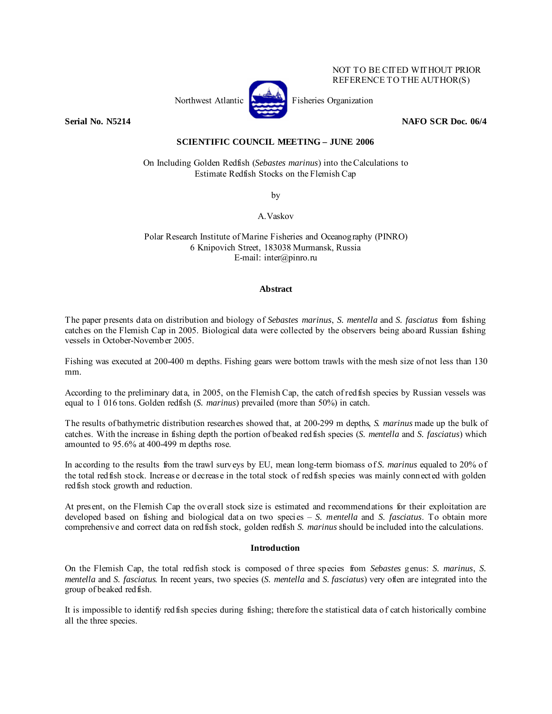

NOT TO BE CITED WITHOUT PRIOR REFERENCE TO THE AUTHOR(S)

## **Serial No. N5214 NAFO SCR Doc. 06/4 NAFO SCR Doc. 06/4**

# **SCIENTIFIC COUNCIL MEETING – JUNE 2006**

On Including Golden Redfish (*Sebastes marinus*) into the Calculations to Estimate Redfish Stocks on the Flemish Cap

by

A.Vaskov

Polar Research Institute of Marine Fisheries and Oceanography (PINRO) 6 Knipovich Street, 183038 Murmansk, Russia E-mail: inter@pinro.ru

### **Abstract**

The paper presents data on distribution and biology of *Sebastes marinus*, *S. mentella* and *S. fasciatus* from fishing catches on the Flemish Cap in 2005. Biological data were collected by the observers being aboard Russian fishing vessels in October-November 2005.

Fishing was executed at 200-400 m depths. Fishing gears were bottom trawls with the mesh size of not less than 130 mm.

According to the preliminary data, in 2005, on the Flemish Cap, the catch of redfish species by Russian vessels was equal to 1 016 tons. Golden redfish (*S. marinus*) prevailed (more than 50%) in catch.

The results of bathymetric distribution researches showed that, at 200-299 m depths, *S. marinus* made up the bulk of catches. With the increase in fishing depth the portion of beaked redfish species (*S. mentella* and *S. fasciatus*) which amounted to 95.6% at 400-499 m depths rose.

In according to the results from the trawl surveys by EU, mean long-term biomass of *S. marinus* equaled to 20% of the total redfish stock. Increase or decrease in the total stock of redfish species was mainly connected with golden redfish stock growth and reduction.

At present, on the Flemish Cap the overall stock size is estimated and recommendations for their exploitation are developed based on fishing and biological data on two species – *S. mentella* and *S. fasciatus*. To obtain more comprehensive and correct data on redfish stock, golden redfish *S. marinus* should be included into the calculations.

## **Introduction**

On the Flemish Cap, the total redfish stock is composed of three species from *Sebastes* genus: *S. marinus*, *S. mentella* and *S. fasciatus*. In recent years, two species (*S. mentella* and *S. fasciatus*) very often are integrated into the group of beaked redfish.

It is impossible to identify redfish species during fishing; therefore the statistical data of catch historically combine all the three species.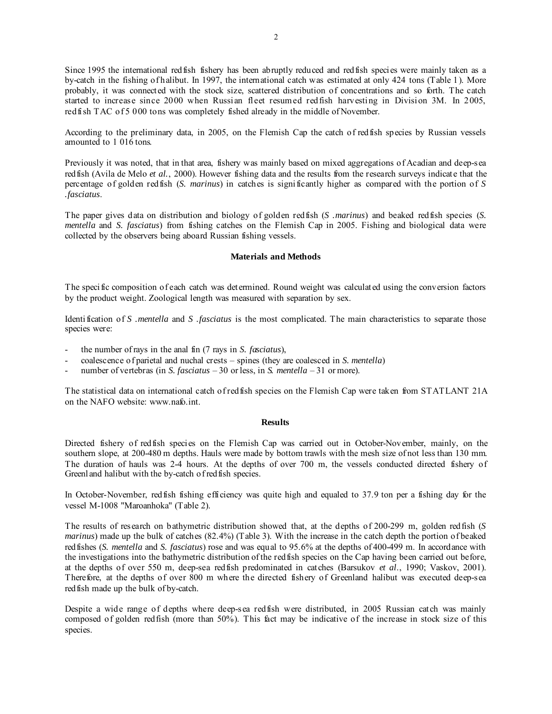Since 1995 the international redfish fishery has been abruptly reduced and redfish species were mainly taken as a by-catch in the fishing of halibut. In 1997, the international catch was estimated at only 424 tons (Table 1). More probably, it was connected with the stock size, scattered distribution of concentrations and so forth. The catch started to increase since 2000 when Russian fleet resumed redfish harvesting in Division 3M. In 2005, red fish TAC of 5 000 tons was completely fished already in the middle of November.

According to the preliminary data, in 2005, on the Flemish Cap the catch of redfish species by Russian vessels amounted to 1 016 tons.

Previously it was noted, that in that area, fishery was mainly based on mixed aggregations of Acadian and deep-sea red fish (Avila de Melo *et al.*, 2000). However fishing data and the results from the research surveys indicate that the percentage of golden redfish (*S. marinus*) in catches is significantly higher as compared with the portion of *S .fasciatus*.

The paper gives data on distribution and biology of golden redfish (*S .marinus*) and beaked redfish species (*S. mentella* and *S. fasciatus*) from fishing catches on the Flemish Cap in 2005. Fishing and biological data were collected by the observers being aboard Russian fishing vessels.

#### **Materials and Methods**

The specific composition of each catch was determined. Round weight was calculated using the conversion factors by the product weight. Zoological length was measured with separation by sex.

Identification of *S .mentella* and *S .fasciatus* is the most complicated. The main characteristics to separate those species were:

- the number of rays in the anal fin (7 rays in *S. fasciatus*),
- coalescence of parietal and nuchal crests spines (they are coalesced in *S. mentella*)
- number of vertebras (in *S. fasciatus* 30 or less, in *S. mentella* 31 or more).

The statistical data on international catch of redfish species on the Flemish Cap were taken from STATLANT 21A on the NAFO website: www.nafo.int.

### **Results**

Directed fishery of redfish species on the Flemish Cap was carried out in October-November, mainly, on the southern slope, at 200-480 m depths. Hauls were made by bottom trawls with the mesh size of not less than 130 mm. The duration of hauls was 2-4 hours. At the depths of over 700 m, the vessels conducted directed fishery of Greenland halibut with the by-catch of redfish species.

In October-November, redfish fishing efficiency was quite high and equaled to 37.9 ton per a fishing day for the vessel M-1008 "Maroanhoka" (Table 2).

The results of research on bathymetric distribution showed that, at the depths of 200-299 m, golden redfish (*S marinus*) made up the bulk of catches (82.4%) (Table 3). With the increase in the catch depth the portion of beaked redfishes (*S. mentella* and *S. fasciatus*) rose and was equal to 95.6% at the depths of 400-499 m. In accordance with the investigations into the bathymetric distribution of the redfish species on the Cap having been carried out before, at the depths of over 550 m, deep-sea redfish predominated in catches (Barsukov *et al*., 1990; Vaskov, 2001). Therefore, at the depths of over 800 m where the directed fishery of Greenland halibut was executed deep-sea redfish made up the bulk of by-catch.

Despite a wide range of depths where deep-sea redfish were distributed, in 2005 Russian catch was mainly composed of golden redfish (more than 50%). This fact may be indicative of the increase in stock size of this species.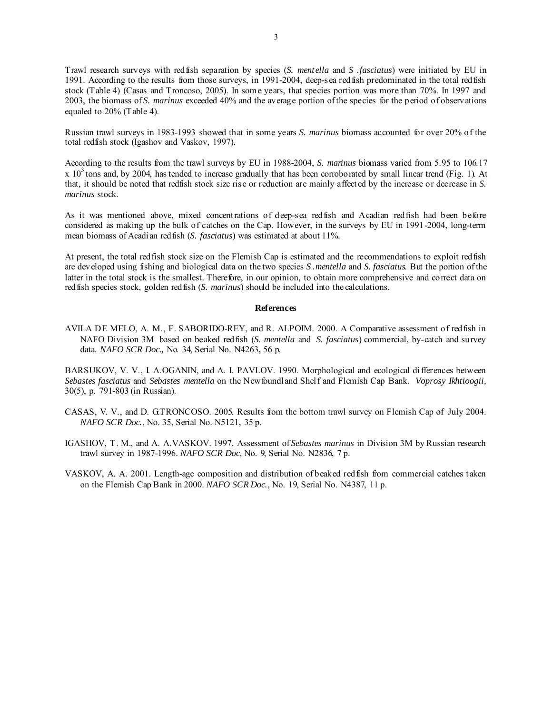Trawl research surveys with redfish separation by species (*S. mentella* and *S .fasciatus*) were initiated by EU in 1991. According to the results from those surveys, in 1991-2004, deep-sea redfish predominated in the total redfish stock (Table 4) (Casas and Troncoso, 2005). In some years, that species portion was more than 70%. In 1997 and 2003, the biomass of *S. marinus* exceeded 40% and the average portion of the species for the period of observations equaled to 20% (Table 4).

Russian trawl surveys in 1983-1993 showed that in some years *S. marinus* biomass accounted for over 20% of the total redfish stock (Igashov and Vaskov, 1997).

According to the results from the trawl surveys by EU in 1988-2004, *S. marinus* biomass varied from 5.95 to 106.17  $x$  10<sup>3</sup> tons and, by 2004, has tended to increase gradually that has been corroborated by small linear trend (Fig. 1). At that, it should be noted that redfish stock size rise or reduction are mainly affected by the increase or decrease in *S. marinus* stock.

As it was mentioned above, mixed concentrations of deep-sea redfish and Acadian redfish had been before considered as making up the bulk of catches on the Cap. However, in the surveys by EU in 1991-2004, long-term mean biomass of Acadian redfish (*S. fasciatus*) was estimated at about 11%.

At present, the total redfish stock size on the Flemish Cap is estimated and the recommendations to exploit redfish are developed using fishing and biological data on the two species *S .mentella* and *S. fasciatus*. But the portion of the latter in the total stock is the smallest. Therefore, in our opinion, to obtain more comprehensive and correct data on redfish species stock, golden redfish (*S. marinus*) should be included into the calculations.

### **References**

AVILA DE MELO, A. M., F. SABORIDO-REY, and R. ALPOIM. 2000. A Comparative assessment of redfish in NAFO Division 3M based on beaked redfish (*S. mentella* and *S. fasciatus*) commercial, by-catch and survey data. *NAFO SCR Doc.,* No. 34, Serial No. N4263, 56 p.

BARSUKOV, V. V., I. A.OGANIN, and A. I. PAVLOV. 1990. Morphological and ecological differences between *Sebastes fasciatus* and *Sebastes mentella* on the Newfoundland Shelf and Flemish Cap Bank. *Voprosy Ikhtioogii,*  30(5), p. 791-803 (in Russian).

- CASAS, V. V., and D. GTRONCOSO. 2005. Results from the bottom trawl survey on Flemish Cap of July 2004. *NAFO SCR Doc.*, No. 35, Serial No. N5121, 35 p.
- IGASHOV, T. M., and A. A.VASKOV. 1997. Assessment of *Sebastes marinus* in Division 3M by Russian research trawl survey in 1987-1996. *NAFO SCR Doc,* No. 9, Serial No. N2836, 7 p.

VASKOV, A. A. 2001. Length-age composition and distribution of beaked redfish from commercial catches taken on the Flemish Cap Bank in 2000. *NAFO SCR Doc.,* No. 19, Serial No. N4387, 11 p.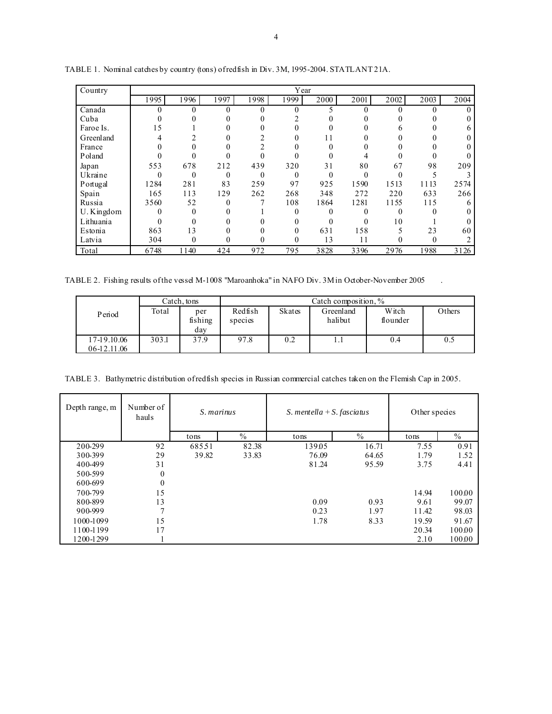| Country    | Year |          |          |      |          |          |      |          |      |      |
|------------|------|----------|----------|------|----------|----------|------|----------|------|------|
|            | 1995 | 1996     | 1997     | 1998 | 1999     | 2000     | 2001 | 2002     | 2003 | 2004 |
| Canada     |      |          | $\Omega$ |      | $\theta$ |          | 0    |          |      |      |
| Cuba       |      |          |          |      |          |          |      |          |      |      |
| Faroe Is.  | 15   |          |          |      |          |          |      |          |      |      |
| Greenland  |      |          |          |      | 0        | 11       |      |          |      |      |
| France     |      |          |          |      |          |          |      |          |      |      |
| Poland     |      |          |          |      |          |          |      |          |      |      |
| Japan      | 553  | 678      | 212      | 439  | 320      | 31       | 80   | 67       | 98   | 209  |
| Ukraine    |      | $\Omega$ | $\theta$ | 0    | $\theta$ | $\Omega$ | 0    |          |      |      |
| Portugal   | 1284 | 281      | 83       | 259  | 97       | 925      | 1590 | 1513     | 1113 | 2574 |
| Spain      | 165  | 113      | 129      | 262  | 268      | 348      | 272  | 220      | 633  | 266  |
| Russia     | 3560 | 52       | $\Omega$ |      | 108      | 1864     | 1281 | 1155     | 115  |      |
| U. Kingdom |      | $\Omega$ |          |      | $\theta$ |          | 0    | $\Omega$ |      |      |
| Lithuania  |      |          |          |      |          |          | 0    | 10       |      |      |
| Estonia    | 863  | 13       |          |      | 0        | 631      | 158  |          | 23   | 60   |
| Latvia     | 304  | $\theta$ | 0        | 0    | 0        | 13       | 11   | 0        | 0    |      |
| Total      | 6748 | 1140     | 424      | 972  | 795      | 3828     | 3396 | 2976     | 1988 | 3126 |

TABLE 1.Nominal catches by country (tons) of redfish in Div. 3M, 1995-2004. STATLANT 21A.

TABLE 2. Fishing results of the vessel M-1008 "Maroanhoka" in NAFO Div. 3M in October-November 2005.

|                            | Catch, tons |                       | Catch composition, % |        |                      |                   |        |  |  |
|----------------------------|-------------|-----------------------|----------------------|--------|----------------------|-------------------|--------|--|--|
| Period                     | Total       | per<br>fishing<br>day | Redfish<br>species   | Skates | Greenland<br>halibut | Witch<br>flounder | Others |  |  |
| 17-19.10.06<br>06-12.11.06 | 303.1       | 37.9                  | 97.8                 | 0.2    |                      | 0.4               | 0.5    |  |  |

TABLE 3. Bathymetric distribution of redfish species in Russian commercial catches taken on the Flemish Cap in 2005.

| Depth range, m | Number of<br>hauls | S. marinus   |       | S. mentella + S. fasciatus |       | Other species |               |
|----------------|--------------------|--------------|-------|----------------------------|-------|---------------|---------------|
|                |                    | $\%$<br>tons |       | tons                       | $\%$  | tons          | $\frac{0}{0}$ |
| 200-299        | 92                 | 68551        | 82.38 | 139.05                     | 16.71 | 7.55          | 0.91          |
| 300-399        | 29                 | 39.82        | 33.83 | 76.09                      | 64.65 | 1.79          | 1.52          |
| 400-499        | 31                 |              |       | 81.24                      | 95.59 | 3.75          | 4.41          |
| 500-599        | $\theta$           |              |       |                            |       |               |               |
| 600-699        | $\mathbf{0}$       |              |       |                            |       |               |               |
| 700-799        | 15                 |              |       |                            |       | 14.94         | 100.00        |
| 800-899        | 13                 |              |       | 0.09                       | 0.93  | 9.61          | 99.07         |
| 900-999        | $\mathbf{r}$       |              |       | 0.23                       | 1.97  | 11.42         | 98.03         |
| 1000-1099      | 15                 |              |       | 1.78                       | 8.33  | 19.59         | 91.67         |
| 1100-1199      | 17                 |              |       |                            |       | 20.34         | 10000         |
| 1200-1299      |                    |              |       |                            |       | 2.10          | 10000         |